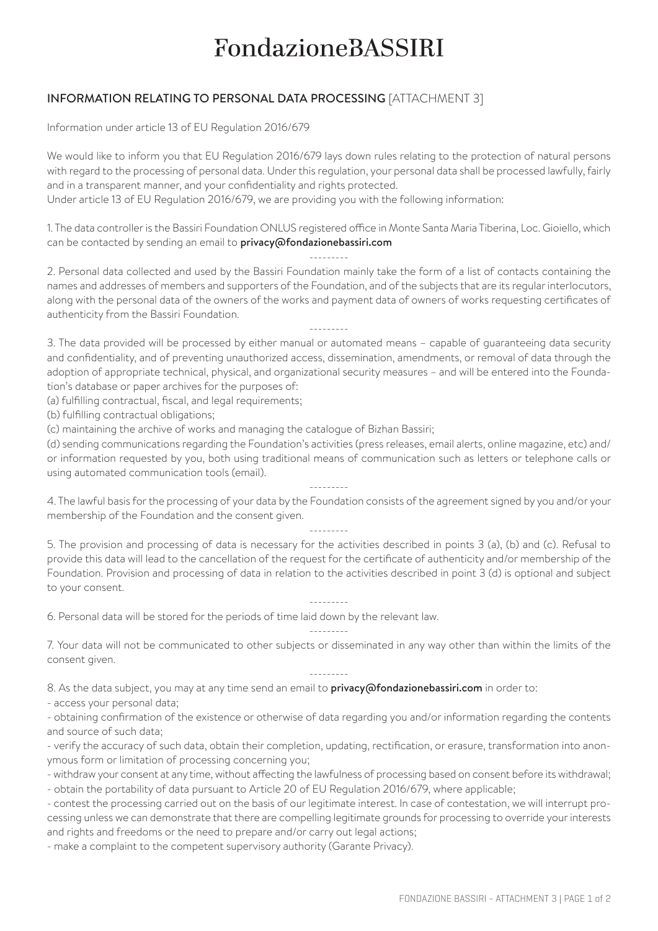## **FondazioneBASSIRI**

## INFORMATION RELATING TO PERSONAL DATA PROCESSING [ATTACHMENT 3]

Information under article 13 of EU Regulation 2016/679

We would like to inform you that EU Regulation 2016/679 lays down rules relating to the protection of natural persons with regard to the processing of personal data. Under this regulation, your personal data shall be processed lawfully, fairly and in a transparent manner, and your confidentiality and rights protected.

Under article 13 of EU Regulation 2016/679, we are providing you with the following information:

1. The data controller is the Bassiri Foundation ONLUS registered office in Monte Santa Maria Tiberina, Loc. Gioiello, which can be contacted by sending an email to privacy@fondazionebassiri.com

---------

2. Personal data collected and used by the Bassiri Foundation mainly take the form of a list of contacts containing the names and addresses of members and supporters of the Foundation, and of the subjects that are its regular interlocutors, along with the personal data of the owners of the works and payment data of owners of works requesting certificates of authenticity from the Bassiri Foundation.

--------- 3. The data provided will be processed by either manual or automated means – capable of guaranteeing data security and confidentiality, and of preventing unauthorized access, dissemination, amendments, or removal of data through the adoption of appropriate technical, physical, and organizational security measures – and will be entered into the Foundation's database or paper archives for the purposes of:

(a) fulfilling contractual, fiscal, and legal requirements;

(b) fulfilling contractual obligations;

(c) maintaining the archive of works and managing the catalogue of Bizhan Bassiri;

(d) sending communications regarding the Foundation's activities (press releases, email alerts, online magazine, etc) and/ or information requested by you, both using traditional means of communication such as letters or telephone calls or using automated communication tools (email).

---------

4. The lawful basis for the processing of your data by the Foundation consists of the agreement signed by you and/or your membership of the Foundation and the consent given.

---------

5. The provision and processing of data is necessary for the activities described in points 3 (a), (b) and (c). Refusal to provide this data will lead to the cancellation of the request for the certificate of authenticity and/or membership of the Foundation. Provision and processing of data in relation to the activities described in point 3 (d) is optional and subject to your consent.

---------

6. Personal data will be stored for the periods of time laid down by the relevant law.

--------- 7. Your data will not be communicated to other subjects or disseminated in any way other than within the limits of the consent given.

---------

8. As the data subject, you may at any time send an email to **privacy@fondazionebassiri.com** in order to:

- access your personal data;

- obtaining confirmation of the existence or otherwise of data regarding you and/or information regarding the contents and source of such data;

- verify the accuracy of such data, obtain their completion, updating, rectification, or erasure, transformation into anonymous form or limitation of processing concerning you;

- withdraw your consent at any time, without affecting the lawfulness of processing based on consent before its withdrawal; - obtain the portability of data pursuant to Article 20 of EU Regulation 2016/679, where applicable;

- contest the processing carried out on the basis of our legitimate interest. In case of contestation, we will interrupt processing unless we can demonstrate that there are compelling legitimate grounds for processing to override your interests and rights and freedoms or the need to prepare and/or carry out legal actions;

- make a complaint to the competent supervisory authority (Garante Privacy).